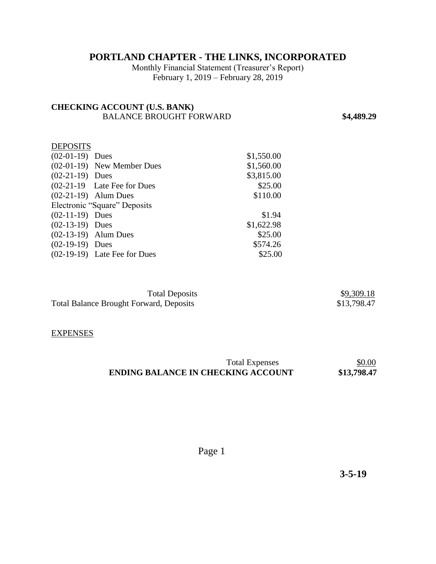# **PORTLAND CHAPTER - THE LINKS, INCORPORATED**

Monthly Financial Statement (Treasurer's Report) February 1, 2019 – February 28, 2019

## **CHECKING ACCOUNT (U.S. BANK)**  BALANCE BROUGHT FORWARD **\$4,489.29**

## **DEPOSITS**

| $(02-01-19)$ Dues |                                | \$1,550.00 |
|-------------------|--------------------------------|------------|
|                   | $(02-01-19)$ New Member Dues   | \$1,560.00 |
| $(02-21-19)$ Dues |                                | \$3,815.00 |
|                   | $(02-21-19$ Late Fee for Dues  | \$25.00    |
|                   | $(02-21-19)$ Alum Dues         | \$110.00   |
|                   | Electronic "Square" Deposits   |            |
| $(02-11-19)$ Dues |                                | \$1.94     |
| $(02-13-19)$ Dues |                                | \$1,622.98 |
|                   | $(02-13-19)$ Alum Dues         | \$25.00    |
| $(02-19-19)$ Dues |                                | \$574.26   |
|                   | $(02-19-19)$ Late Fee for Dues | \$25.00    |

| <b>Total Deposits</b>                          | \$9,309.18  |
|------------------------------------------------|-------------|
| <b>Total Balance Brought Forward, Deposits</b> | \$13,798.47 |

#### **EXPENSES**

| <b>Total Expenses</b>                     | \$0.00      |
|-------------------------------------------|-------------|
| <b>ENDING BALANCE IN CHECKING ACCOUNT</b> | \$13,798.47 |

Page 1

 **3-5-19**